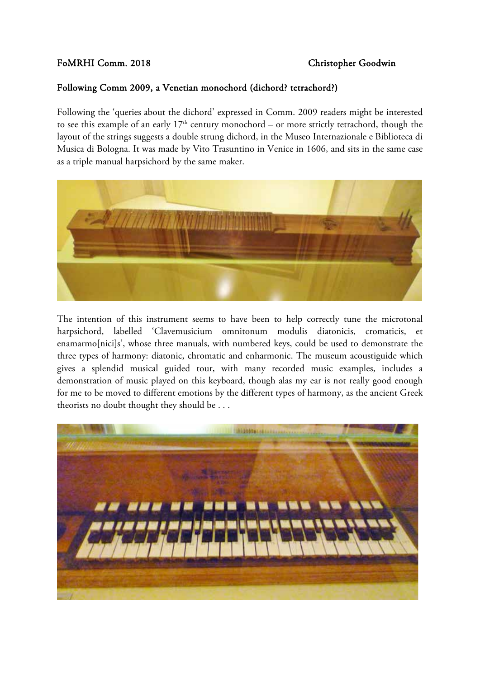## FoMRHI Comm. 2018 Christopher Goodwin

## Following Comm 2009, a Venetian monochord (dichord? tetrachord?)

Following the 'queries about the dichord' expressed in Comm. 2009 readers might be interested to see this example of an early  $17<sup>th</sup>$  century monochord – or more strictly tetrachord, though the layout of the strings suggests a double strung dichord, in the Museo Internazionale e Biblioteca di Musica di Bologna. It was made by Vito Trasuntino in Venice in 1606, and sits in the same case as a triple manual harpsichord by the same maker.



The intention of this instrument seems to have been to help correctly tune the microtonal harpsichord, labelled 'Clavemusicium omnitonum modulis diatonicis, cromaticis, et enamarmo[nici]s', whose three manuals, with numbered keys, could be used to demonstrate the three types of harmony: diatonic, chromatic and enharmonic. The museum acoustiguide which gives a splendid musical guided tour, with many recorded music examples, includes a demonstration of music played on this keyboard, though alas my ear is not really good enough for me to be moved to different emotions by the different types of harmony, as the ancient Greek theorists no doubt thought they should be . . .